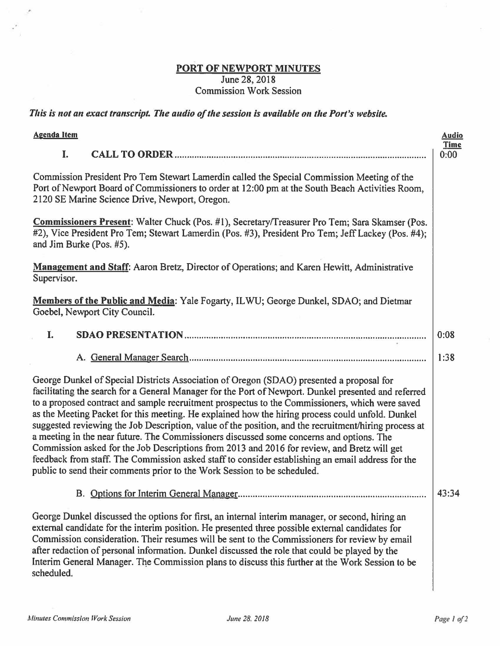## **PORT OF NEWPORT MINUTES**  June 28, 2018 Commission Work Session

*This is not an exact transcript. The audio of the session is available on the Port's website.* 

| <b>Agenda Item</b>                                                                                                                                                                                                                                                                                                                                                                                                                                                                                                                                                                                                                                                                                                                                                                                                                                                                           | <b>Audio</b>        |
|----------------------------------------------------------------------------------------------------------------------------------------------------------------------------------------------------------------------------------------------------------------------------------------------------------------------------------------------------------------------------------------------------------------------------------------------------------------------------------------------------------------------------------------------------------------------------------------------------------------------------------------------------------------------------------------------------------------------------------------------------------------------------------------------------------------------------------------------------------------------------------------------|---------------------|
| I.                                                                                                                                                                                                                                                                                                                                                                                                                                                                                                                                                                                                                                                                                                                                                                                                                                                                                           | <b>Time</b><br>0:00 |
| Commission President Pro Tem Stewart Lamerdin called the Special Commission Meeting of the<br>Port of Newport Board of Commissioners to order at 12:00 pm at the South Beach Activities Room,<br>2120 SE Marine Science Drive, Newport, Oregon.                                                                                                                                                                                                                                                                                                                                                                                                                                                                                                                                                                                                                                              |                     |
| <b>Commissioners Present:</b> Walter Chuck (Pos. #1), Secretary/Treasurer Pro Tem; Sara Skamser (Pos.<br>#2), Vice President Pro Tem; Stewart Lamerdin (Pos. #3), President Pro Tem; Jeff Lackey (Pos. #4);<br>and Jim Burke (Pos. #5).                                                                                                                                                                                                                                                                                                                                                                                                                                                                                                                                                                                                                                                      |                     |
| Management and Staff: Aaron Bretz, Director of Operations; and Karen Hewitt, Administrative<br>Supervisor.                                                                                                                                                                                                                                                                                                                                                                                                                                                                                                                                                                                                                                                                                                                                                                                   |                     |
| Members of the Public and Media: Yale Fogarty, ILWU; George Dunkel, SDAO; and Dietmar<br>Goebel, Newport City Council.                                                                                                                                                                                                                                                                                                                                                                                                                                                                                                                                                                                                                                                                                                                                                                       |                     |
| I.                                                                                                                                                                                                                                                                                                                                                                                                                                                                                                                                                                                                                                                                                                                                                                                                                                                                                           | 0:08                |
|                                                                                                                                                                                                                                                                                                                                                                                                                                                                                                                                                                                                                                                                                                                                                                                                                                                                                              | 1:38                |
| George Dunkel of Special Districts Association of Oregon (SDAO) presented a proposal for<br>facilitating the search for a General Manager for the Port of Newport. Dunkel presented and referred<br>to a proposed contract and sample recruitment prospectus to the Commissioners, which were saved<br>as the Meeting Packet for this meeting. He explained how the hiring process could unfold. Dunkel<br>suggested reviewing the Job Description, value of the position, and the recruitment/hiring process at<br>a meeting in the near future. The Commissioners discussed some concerns and options. The<br>Commission asked for the Job Descriptions from 2013 and 2016 for review, and Bretz will get<br>feedback from staff. The Commission asked staff to consider establishing an email address for the<br>public to send their comments prior to the Work Session to be scheduled. |                     |
| B. Options for Interim General Manager                                                                                                                                                                                                                                                                                                                                                                                                                                                                                                                                                                                                                                                                                                                                                                                                                                                       | 43:34               |
| George Dunkel discussed the options for first, an internal interim manager, or second, hiring an<br>external candidate for the interim position. He presented three possible external candidates for<br>Commission consideration. Their resumes will be sent to the Commissioners for review by email<br>after redaction of personal information. Dunkel discussed the role that could be played by the<br>Interim General Manager. The Commission plans to discuss this further at the Work Session to be<br>scheduled.                                                                                                                                                                                                                                                                                                                                                                     |                     |

×